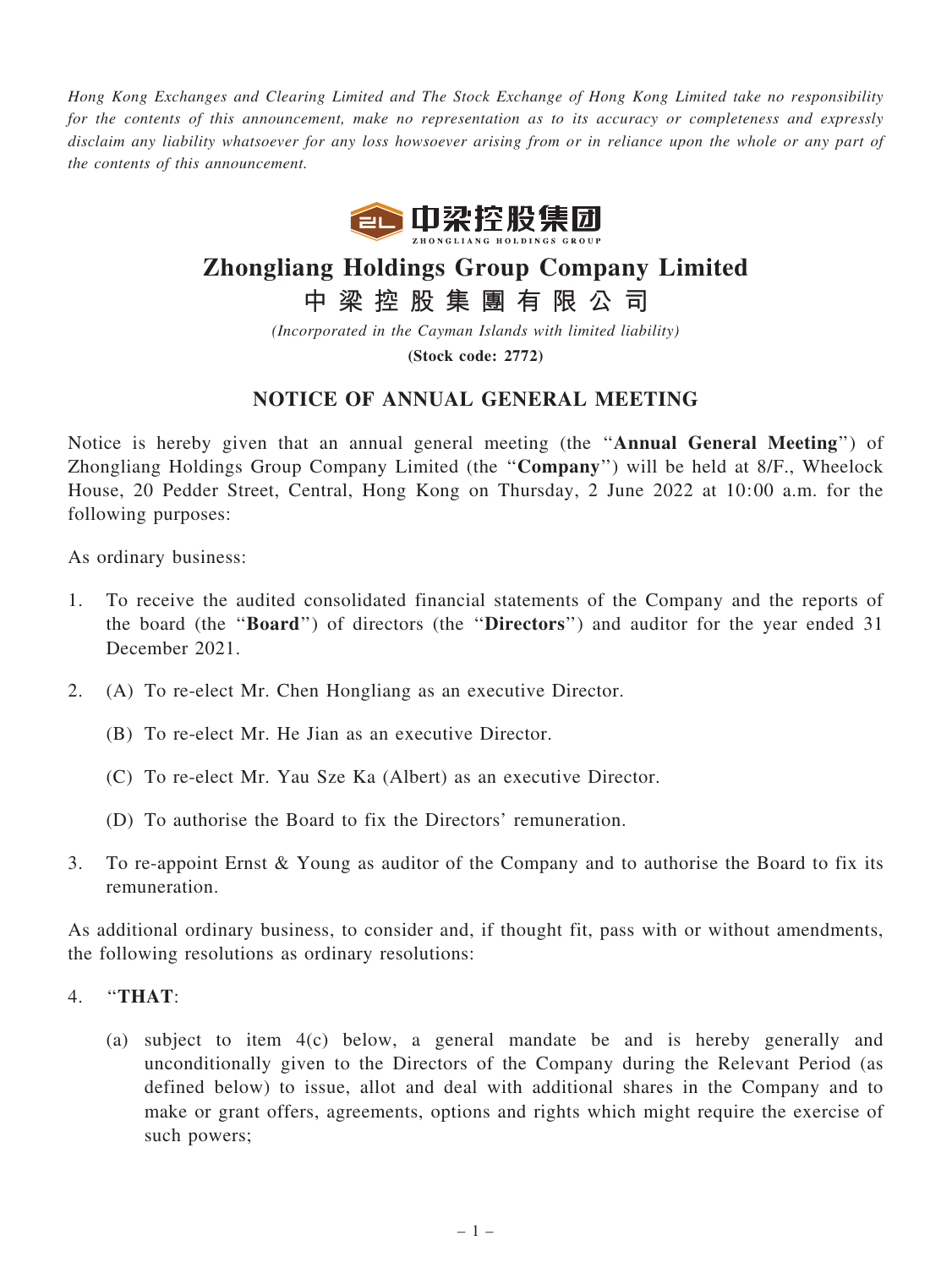Hong Kong Exchanges and Clearing Limited and The Stock Exchange of Hong Kong Limited take no responsibility for the contents of this announcement, make no representation as to its accuracy or completeness and expressly disclaim any liability whatsoever for any loss howsoever arising from or in reliance upon the whole or any part of the contents of this announcement.



# Zhongliang Holdings Group Company Limited

中 梁 控 股 集 團 有 限 公 司

(Incorporated in the Cayman Islands with limited liability)

(Stock code: 2772)

## NOTICE OF ANNUAL GENERAL MEETING

Notice is hereby given that an annual general meeting (the ''Annual General Meeting'') of Zhongliang Holdings Group Company Limited (the ''Company'') will be held at 8/F., Wheelock House, 20 Pedder Street, Central, Hong Kong on Thursday, 2 June 2022 at 10:00 a.m. for the following purposes:

As ordinary business:

- 1. To receive the audited consolidated financial statements of the Company and the reports of the board (the ''Board'') of directors (the ''Directors'') and auditor for the year ended 31 December 2021.
- 2. (A) To re-elect Mr. Chen Hongliang as an executive Director.
	- (B) To re-elect Mr. He Jian as an executive Director.
	- (C) To re-elect Mr. Yau Sze Ka (Albert) as an executive Director.
	- (D) To authorise the Board to fix the Directors' remuneration.
- 3. To re-appoint Ernst & Young as auditor of the Company and to authorise the Board to fix its remuneration.

As additional ordinary business, to consider and, if thought fit, pass with or without amendments, the following resolutions as ordinary resolutions:

- 4. ''THAT:
	- (a) subject to item 4(c) below, a general mandate be and is hereby generally and unconditionally given to the Directors of the Company during the Relevant Period (as defined below) to issue, allot and deal with additional shares in the Company and to make or grant offers, agreements, options and rights which might require the exercise of such powers;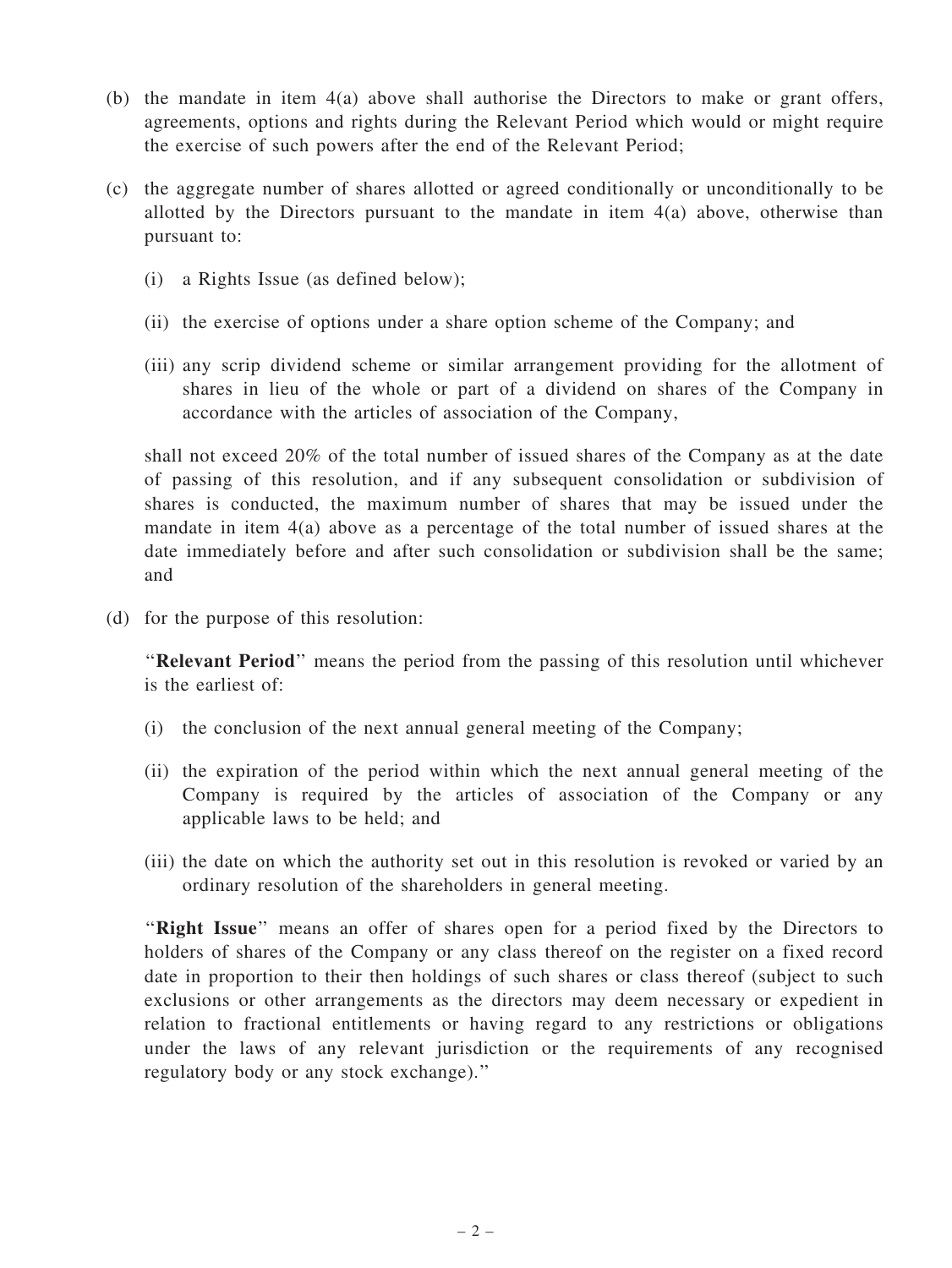- (b) the mandate in item 4(a) above shall authorise the Directors to make or grant offers, agreements, options and rights during the Relevant Period which would or might require the exercise of such powers after the end of the Relevant Period;
- (c) the aggregate number of shares allotted or agreed conditionally or unconditionally to be allotted by the Directors pursuant to the mandate in item  $4(a)$  above, otherwise than pursuant to:
	- (i) a Rights Issue (as defined below);
	- (ii) the exercise of options under a share option scheme of the Company; and
	- (iii) any scrip dividend scheme or similar arrangement providing for the allotment of shares in lieu of the whole or part of a dividend on shares of the Company in accordance with the articles of association of the Company,

shall not exceed 20% of the total number of issued shares of the Company as at the date of passing of this resolution, and if any subsequent consolidation or subdivision of shares is conducted, the maximum number of shares that may be issued under the mandate in item 4(a) above as a percentage of the total number of issued shares at the date immediately before and after such consolidation or subdivision shall be the same; and

(d) for the purpose of this resolution:

"Relevant Period" means the period from the passing of this resolution until whichever is the earliest of:

- (i) the conclusion of the next annual general meeting of the Company;
- (ii) the expiration of the period within which the next annual general meeting of the Company is required by the articles of association of the Company or any applicable laws to be held; and
- (iii) the date on which the authority set out in this resolution is revoked or varied by an ordinary resolution of the shareholders in general meeting.

"Right Issue" means an offer of shares open for a period fixed by the Directors to holders of shares of the Company or any class thereof on the register on a fixed record date in proportion to their then holdings of such shares or class thereof (subject to such exclusions or other arrangements as the directors may deem necessary or expedient in relation to fractional entitlements or having regard to any restrictions or obligations under the laws of any relevant jurisdiction or the requirements of any recognised regulatory body or any stock exchange).''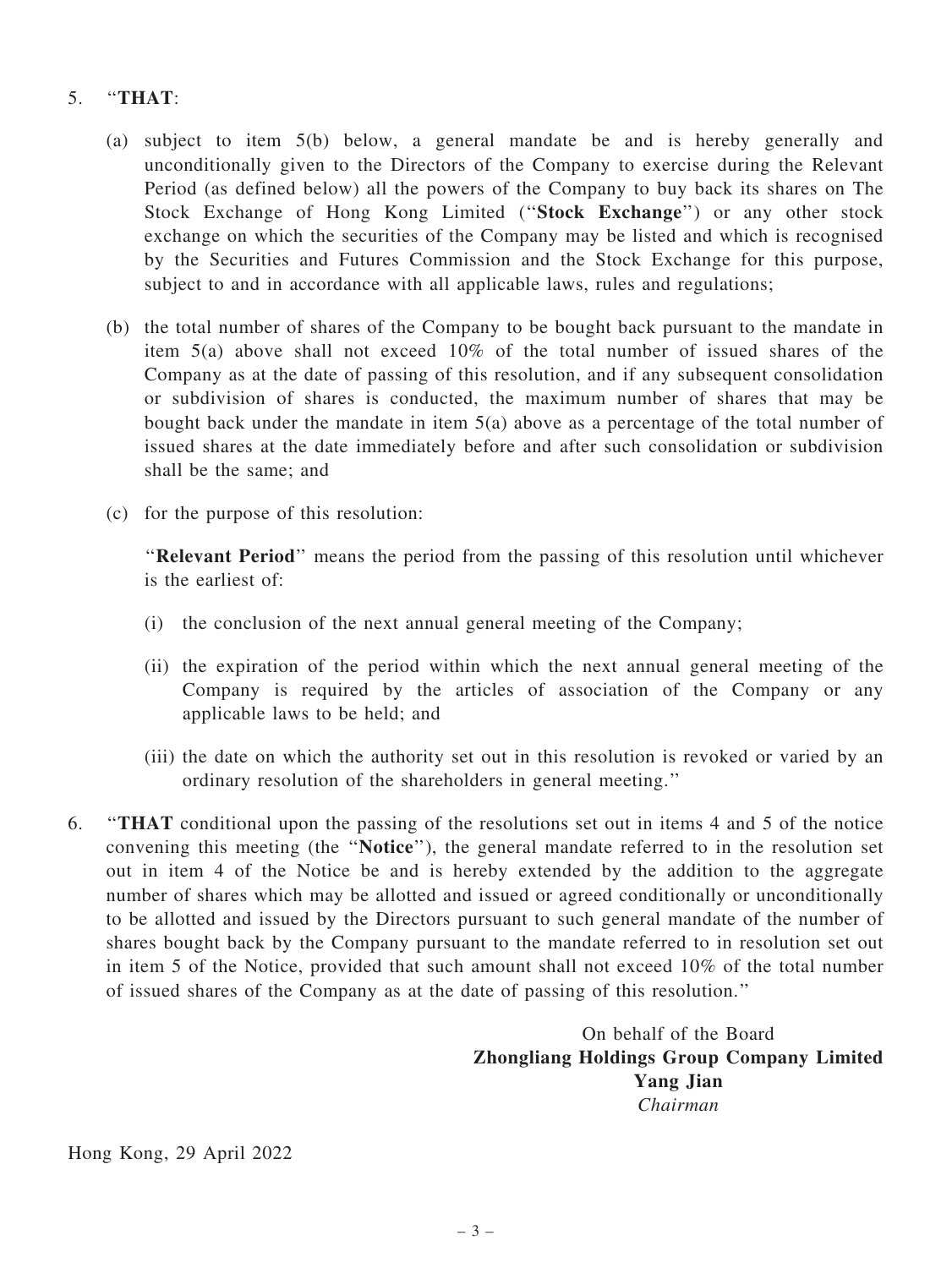## 5. ''THAT:

- (a) subject to item 5(b) below, a general mandate be and is hereby generally and unconditionally given to the Directors of the Company to exercise during the Relevant Period (as defined below) all the powers of the Company to buy back its shares on The Stock Exchange of Hong Kong Limited (''Stock Exchange'') or any other stock exchange on which the securities of the Company may be listed and which is recognised by the Securities and Futures Commission and the Stock Exchange for this purpose, subject to and in accordance with all applicable laws, rules and regulations;
- (b) the total number of shares of the Company to be bought back pursuant to the mandate in item 5(a) above shall not exceed 10% of the total number of issued shares of the Company as at the date of passing of this resolution, and if any subsequent consolidation or subdivision of shares is conducted, the maximum number of shares that may be bought back under the mandate in item 5(a) above as a percentage of the total number of issued shares at the date immediately before and after such consolidation or subdivision shall be the same; and
- (c) for the purpose of this resolution:

"Relevant Period" means the period from the passing of this resolution until whichever is the earliest of:

- (i) the conclusion of the next annual general meeting of the Company;
- (ii) the expiration of the period within which the next annual general meeting of the Company is required by the articles of association of the Company or any applicable laws to be held; and
- (iii) the date on which the authority set out in this resolution is revoked or varied by an ordinary resolution of the shareholders in general meeting.''
- 6. ''THAT conditional upon the passing of the resolutions set out in items 4 and 5 of the notice convening this meeting (the ''Notice''), the general mandate referred to in the resolution set out in item 4 of the Notice be and is hereby extended by the addition to the aggregate number of shares which may be allotted and issued or agreed conditionally or unconditionally to be allotted and issued by the Directors pursuant to such general mandate of the number of shares bought back by the Company pursuant to the mandate referred to in resolution set out in item 5 of the Notice, provided that such amount shall not exceed 10% of the total number of issued shares of the Company as at the date of passing of this resolution.''

On behalf of the Board Zhongliang Holdings Group Company Limited Yang Jian Chairman

Hong Kong, 29 April 2022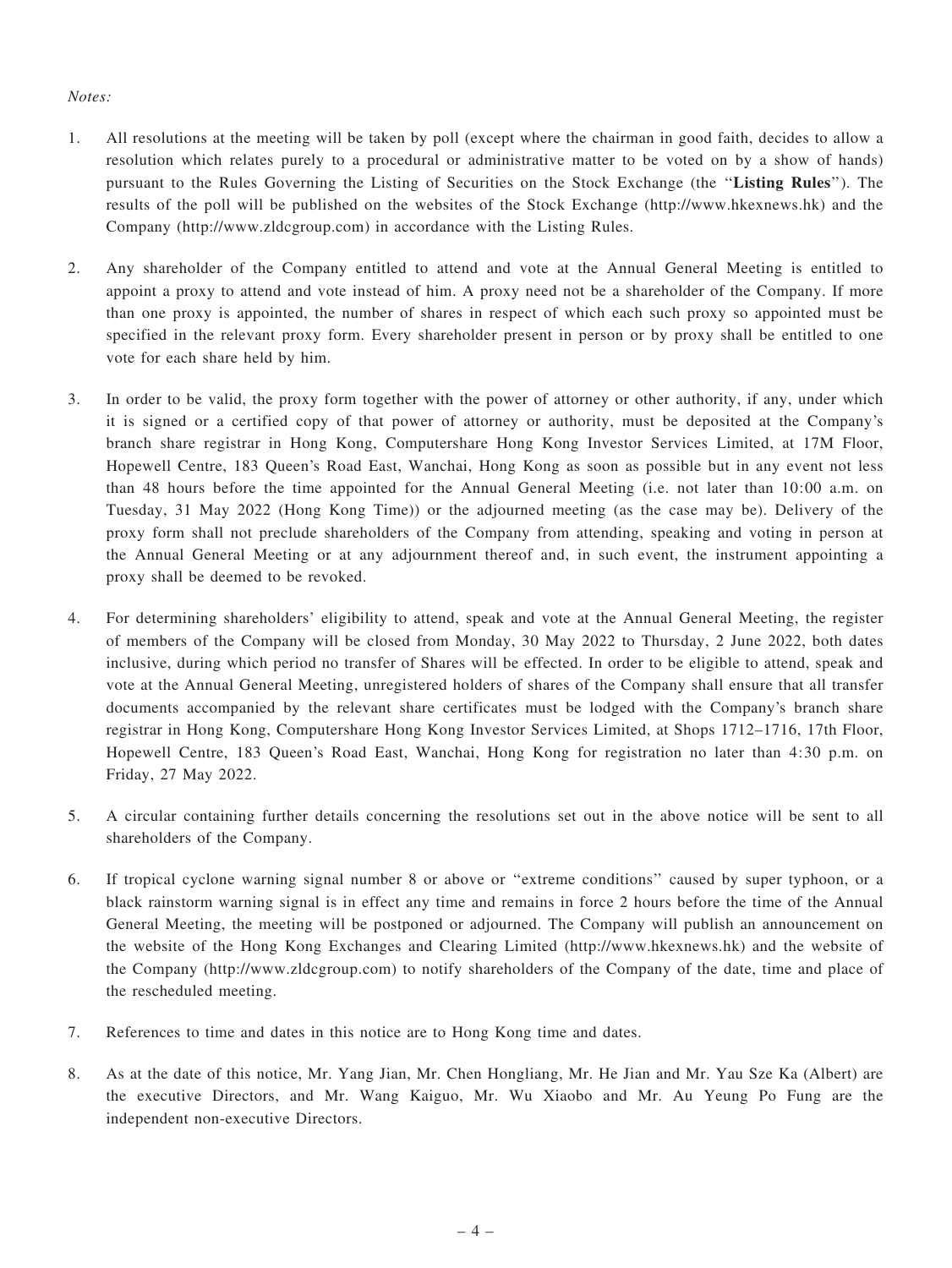### Notes:

- 1. All resolutions at the meeting will be taken by poll (except where the chairman in good faith, decides to allow a resolution which relates purely to a procedural or administrative matter to be voted on by a show of hands) pursuant to the Rules Governing the Listing of Securities on the Stock Exchange (the ''Listing Rules''). The results of the poll will be published on the websites of the Stock Exchange (http://www.hkexnews.hk) and the Company (http://www.zldcgroup.com) in accordance with the Listing Rules.
- 2. Any shareholder of the Company entitled to attend and vote at the Annual General Meeting is entitled to appoint a proxy to attend and vote instead of him. A proxy need not be a shareholder of the Company. If more than one proxy is appointed, the number of shares in respect of which each such proxy so appointed must be specified in the relevant proxy form. Every shareholder present in person or by proxy shall be entitled to one vote for each share held by him.
- 3. In order to be valid, the proxy form together with the power of attorney or other authority, if any, under which it is signed or a certified copy of that power of attorney or authority, must be deposited at the Company's branch share registrar in Hong Kong, Computershare Hong Kong Investor Services Limited, at 17M Floor, Hopewell Centre, 183 Queen's Road East, Wanchai, Hong Kong as soon as possible but in any event not less than 48 hours before the time appointed for the Annual General Meeting (i.e. not later than 10:00 a.m. on Tuesday, 31 May 2022 (Hong Kong Time)) or the adjourned meeting (as the case may be). Delivery of the proxy form shall not preclude shareholders of the Company from attending, speaking and voting in person at the Annual General Meeting or at any adjournment thereof and, in such event, the instrument appointing a proxy shall be deemed to be revoked.
- 4. For determining shareholders' eligibility to attend, speak and vote at the Annual General Meeting, the register of members of the Company will be closed from Monday, 30 May 2022 to Thursday, 2 June 2022, both dates inclusive, during which period no transfer of Shares will be effected. In order to be eligible to attend, speak and vote at the Annual General Meeting, unregistered holders of shares of the Company shall ensure that all transfer documents accompanied by the relevant share certificates must be lodged with the Company's branch share registrar in Hong Kong, Computershare Hong Kong Investor Services Limited, at Shops 1712–1716, 17th Floor, Hopewell Centre, 183 Queen's Road East, Wanchai, Hong Kong for registration no later than 4:30 p.m. on Friday, 27 May 2022.
- 5. A circular containing further details concerning the resolutions set out in the above notice will be sent to all shareholders of the Company.
- 6. If tropical cyclone warning signal number 8 or above or ''extreme conditions'' caused by super typhoon, or a black rainstorm warning signal is in effect any time and remains in force 2 hours before the time of the Annual General Meeting, the meeting will be postponed or adjourned. The Company will publish an announcement on the website of the Hong Kong Exchanges and Clearing Limited (http://www.hkexnews.hk) and the website of the Company (http://www.zldcgroup.com) to notify shareholders of the Company of the date, time and place of the rescheduled meeting.
- 7. References to time and dates in this notice are to Hong Kong time and dates.
- 8. As at the date of this notice, Mr. Yang Jian, Mr. Chen Hongliang, Mr. He Jian and Mr. Yau Sze Ka (Albert) are the executive Directors, and Mr. Wang Kaiguo, Mr. Wu Xiaobo and Mr. Au Yeung Po Fung are the independent non-executive Directors.